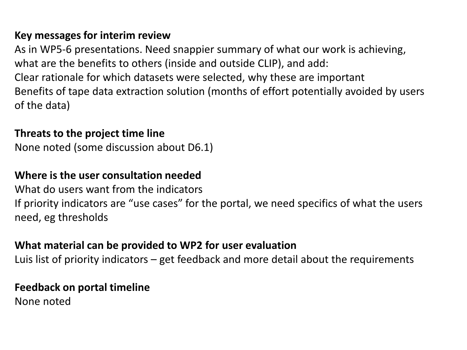### **Key messages for interim review**

As in WP5-6 presentations. Need snappier summary of what our work is achieving, what are the benefits to others (inside and outside CLIP), and add: Clear rationale for which datasets were selected, why these are important Benefits of tape data extraction solution (months of effort potentially avoided by users of the data)

#### **Threats to the project time line**

None noted (some discussion about D6.1)

## **Where is the user consultation needed**

What do users want from the indicators If priority indicators are "use cases" for the portal, we need specifics of what the users need, eg thresholds

## **What material can be provided to WP2 for user evaluation**

Luis list of priority indicators – get feedback and more detail about the requirements

#### **Feedback on portal timeline**

None noted